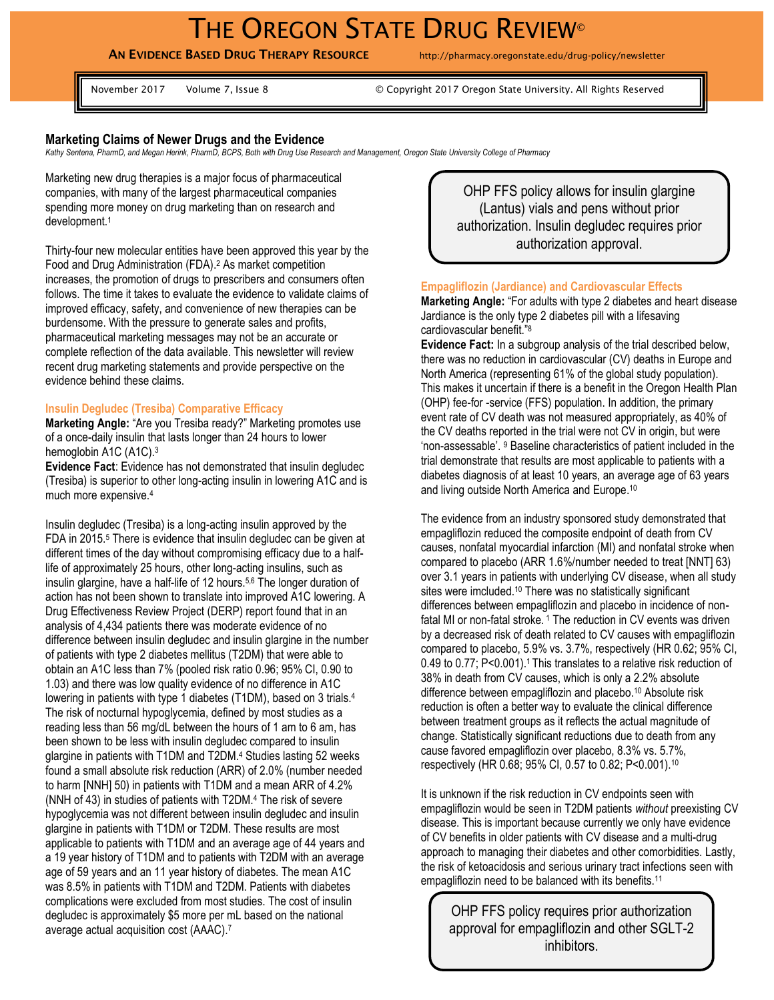# THE OREGON STATE DRUG REVIEW<sup>®</sup>

**AN EVIDENCE BASED DRUG THERAPY RESOURCE** http://pharmacy.oregonstate.edu/drug-policy/newsletter

November 2017 Volume 7, Issue 8 © Copyright 2017 Oregon State University. All Rights Reserved

### **Marketing Claims of Newer Drugs and the Evidence**

*Kathy Sentena, PharmD, and Megan Herink, PharmD, BCPS, Both with Drug Use Research and Management, Oregon State University College of Pharmacy*

Marketing new drug therapies is a major focus of pharmaceutical companies, with many of the largest pharmaceutical companies spending more money on drug marketing than on research and development.<sup>1</sup>

Thirty-four new molecular entities have been approved this year by the Food and Drug Administration (FDA). <sup>2</sup> As market competition increases, the promotion of drugs to prescribers and consumers often follows. The time it takes to evaluate the evidence to validate claims of improved efficacy, safety, and convenience of new therapies can be burdensome. With the pressure to generate sales and profits, pharmaceutical marketing messages may not be an accurate or complete reflection of the data available. This newsletter will review recent drug marketing statements and provide perspective on the evidence behind these claims.

### **Insulin Degludec (Tresiba) Comparative Efficacy**

**Marketing Angle:** "Are you Tresiba ready?" Marketing promotes use of a once-daily insulin that lasts longer than 24 hours to lower hemoglobin A1C (A1C).<sup>3</sup>

**Evidence Fact**: Evidence has not demonstrated that insulin degludec (Tresiba) is superior to other long-acting insulin in lowering A1C and is much more expensive.<sup>4</sup>

Insulin degludec (Tresiba) is a long-acting insulin approved by the FDA in 2015.<sup>5</sup> There is evidence that insulin degludec can be given at different times of the day without compromising efficacy due to a halflife of approximately 25 hours, other long-acting insulins, such as insulin glargine, have a half-life of 12 hours.5,6 The longer duration of action has not been shown to translate into improved A1C lowering. A Drug Effectiveness Review Project (DERP) report found that in an analysis of 4,434 patients there was moderate evidence of no difference between insulin degludec and insulin glargine in the number of patients with type 2 diabetes mellitus (T2DM) that were able to obtain an A1C less than 7% (pooled risk ratio 0.96; 95% CI, 0.90 to 1.03) and there was low quality evidence of no difference in A1C lowering in patients with type 1 diabetes (T1DM), based on 3 trials.<sup>4</sup> The risk of nocturnal hypoglycemia, defined by most studies as a reading less than 56 mg/dL between the hours of 1 am to 6 am, has been shown to be less with insulin degludec compared to insulin glargine in patients with T1DM and T2DM.<sup>4</sup> Studies lasting 52 weeks found a small absolute risk reduction (ARR) of 2.0% (number needed to harm [NNH] 50) in patients with T1DM and a mean ARR of 4.2% (NNH of 43) in studies of patients with T2DM.<sup>4</sup> The risk of severe hypoglycemia was not different between insulin degludec and insulin glargine in patients with T1DM or T2DM. These results are most applicable to patients with T1DM and an average age of 44 years and a 19 year history of T1DM and to patients with T2DM with an average age of 59 years and an 11 year history of diabetes. The mean A1C was 8.5% in patients with T1DM and T2DM. Patients with diabetes complications were excluded from most studies. The cost of insulin degludec is approximately \$5 more per mL based on the national average actual acquisition cost (AAAC). 7

OHP FFS policy allows for insulin glargine (Lantus) vials and pens without prior authorization. Insulin degludec requires prior authorization approval.

#### **Empagliflozin (Jardiance) and Cardiovascular Effects**

**Marketing Angle:** "For adults with type 2 diabetes and heart disease Jardiance is the only type 2 diabetes pill with a lifesaving cardiovascular benefit."<sup>8</sup>

**Evidence Fact:** In a subgroup analysis of the trial described below, there was no reduction in cardiovascular (CV) deaths in Europe and North America (representing 61% of the global study population). This makes it uncertain if there is a benefit in the Oregon Health Plan (OHP) fee-for -service (FFS) population. In addition, the primary event rate of CV death was not measured appropriately, as 40% of the CV deaths reported in the trial were not CV in origin, but were 'non-assessable'. <sup>9</sup> Baseline characteristics of patient included in the trial demonstrate that results are most applicable to patients with a diabetes diagnosis of at least 10 years, an average age of 63 years and living outside North America and Europe. 10

The evidence from an industry sponsored study demonstrated that empagliflozin reduced the composite endpoint of death from CV causes, nonfatal myocardial infarction (MI) and nonfatal stroke when compared to placebo (ARR 1.6%/number needed to treat [NNT] 63) over 3.1 years in patients with underlying CV disease, when all study sites were imcluded. <sup>10</sup> There was no statistically significant differences between empagliflozin and placebo in incidence of nonfatal MI or non-fatal stroke.<sup>1</sup> The reduction in CV events was driven by a decreased risk of death related to CV causes with empagliflozin compared to placebo, 5.9% vs. 3.7%, respectively (HR 0.62; 95% CI, 0.49 to 0.77; P<0.001).1 This translates to a relative risk reduction of 38% in death from CV causes, which is only a 2.2% absolute difference between empagliflozin and placebo.<sup>10</sup> Absolute risk reduction is often a better way to evaluate the clinical difference between treatment groups as it reflects the actual magnitude of change. Statistically significant reductions due to death from any cause favored empagliflozin over placebo, 8.3% vs. 5.7%, respectively (HR 0.68; 95% CI, 0.57 to 0.82; P<0.001).<sup>10</sup>

It is unknown if the risk reduction in CV endpoints seen with empagliflozin would be seen in T2DM patients *without* preexisting CV disease. This is important because currently we only have evidence of CV benefits in older patients with CV disease and a multi-drug approach to managing their diabetes and other comorbidities. Lastly, the risk of ketoacidosis and serious urinary tract infections seen with empagliflozin need to be balanced with its benefits.<sup>11</sup>

OHP FFS policy requires prior authorization approval for empagliflozin and other SGLT-2 inhibitors.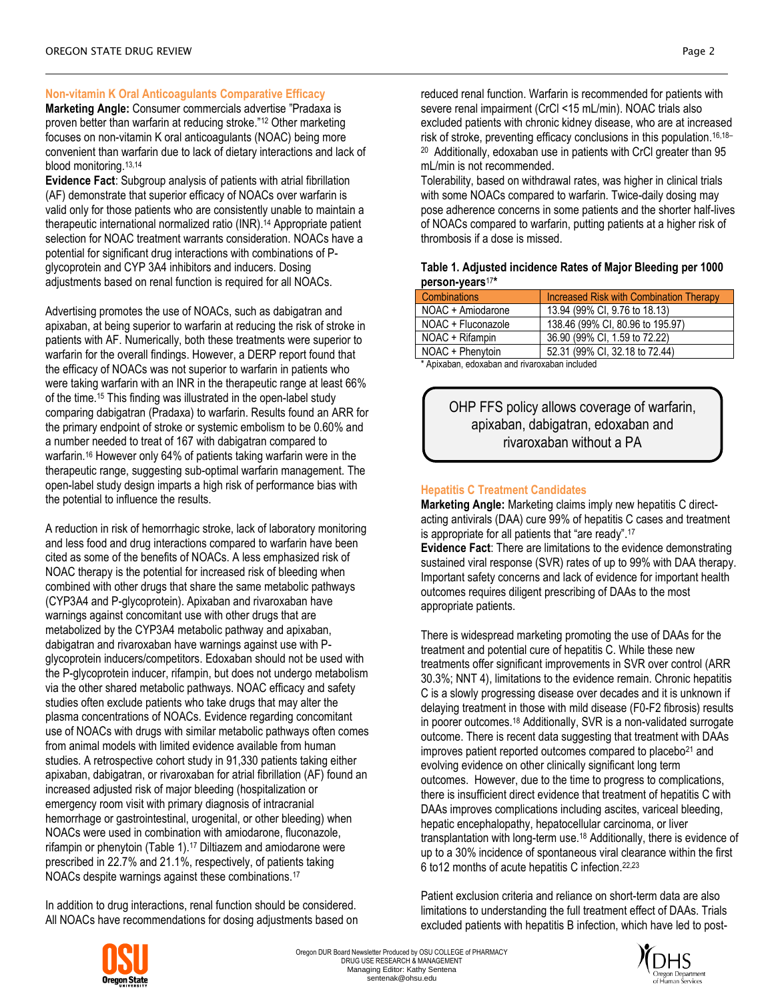# **Non-vitamin K Oral Anticoagulants Comparative Efficacy**

**Marketing Angle:** Consumer commercials advertise "Pradaxa is proven better than warfarin at reducing stroke."<sup>12</sup> Other marketing focuses on non-vitamin K oral anticoagulants (NOAC) being more convenient than warfarin due to lack of dietary interactions and lack of blood monitoring.<sup>13,14</sup>

**Evidence Fact**: Subgroup analysis of patients with atrial fibrillation (AF) demonstrate that superior efficacy of NOACs over warfarin is valid only for those patients who are consistently unable to maintain a therapeutic international normalized ratio (INR). <sup>14</sup> Appropriate patient selection for NOAC treatment warrants consideration. NOACs have a potential for significant drug interactions with combinations of Pglycoprotein and CYP 3A4 inhibitors and inducers. Dosing adjustments based on renal function is required for all NOACs.

Advertising promotes the use of NOACs, such as dabigatran and apixaban, at being superior to warfarin at reducing the risk of stroke in patients with AF. Numerically, both these treatments were superior to warfarin for the overall findings. However, a DERP report found that the efficacy of NOACs was not superior to warfarin in patients who were taking warfarin with an INR in the therapeutic range at least 66% of the time.<sup>15</sup> This finding was illustrated in the open-label study comparing dabigatran (Pradaxa) to warfarin. Results found an ARR for the primary endpoint of stroke or systemic embolism to be 0.60% and a number needed to treat of 167 with dabigatran compared to warfarin. <sup>16</sup> However only 64% of patients taking warfarin were in the therapeutic range, suggesting sub-optimal warfarin management. The open-label study design imparts a high risk of performance bias with the potential to influence the results.

A reduction in risk of hemorrhagic stroke, lack of laboratory monitoring and less food and drug interactions compared to warfarin have been cited as some of the benefits of NOACs. A less emphasized risk of NOAC therapy is the potential for increased risk of bleeding when combined with other drugs that share the same metabolic pathways (CYP3A4 and P-glycoprotein). Apixaban and rivaroxaban have warnings against concomitant use with other drugs that are metabolized by the CYP3A4 metabolic pathway and apixaban, dabigatran and rivaroxaban have warnings against use with Pglycoprotein inducers/competitors. Edoxaban should not be used with the P-glycoprotein inducer, rifampin, but does not undergo metabolism via the other shared metabolic pathways. NOAC efficacy and safety studies often exclude patients who take drugs that may alter the plasma concentrations of NOACs. Evidence regarding concomitant use of NOACs with drugs with similar metabolic pathways often comes from animal models with limited evidence available from human studies. A retrospective cohort study in 91,330 patients taking either apixaban, dabigatran, or rivaroxaban for atrial fibrillation (AF) found an increased adjusted risk of major bleeding (hospitalization or emergency room visit with primary diagnosis of intracranial hemorrhage or gastrointestinal, urogenital, or other bleeding) when NOACs were used in combination with amiodarone, fluconazole, rifampin or phenytoin (Table 1).<sup>17</sup> Diltiazem and amiodarone were prescribed in 22.7% and 21.1%, respectively, of patients taking NOACs despite warnings against these combinations.<sup>17</sup>

In addition to drug interactions, renal function should be considered. All NOACs have recommendations for dosing adjustments based on reduced renal function. Warfarin is recommended for patients with severe renal impairment (CrCl <15 mL/min). NOAC trials also excluded patients with chronic kidney disease, who are at increased risk of stroke, preventing efficacy conclusions in this population.16,18– <sup>20</sup> Additionally, edoxaban use in patients with CrCl greater than 95 mL/min is not recommended.

Tolerability, based on withdrawal rates, was higher in clinical trials with some NOACs compared to warfarin. Twice-daily dosing may pose adherence concerns in some patients and the shorter half-lives of NOACs compared to warfarin, putting patients at a higher risk of thrombosis if a dose is missed.

## **Table 1. Adjusted incidence Rates of Major Bleeding per 1000 person-years**<sup>17</sup> **\***

| <b>Combinations</b> | Increased Risk with Combination Therapy |
|---------------------|-----------------------------------------|
| NOAC + Amiodarone   | 13.94 (99% CI, 9.76 to 18.13)           |
| NOAC + Fluconazole  | 138.46 (99% CI, 80.96 to 195.97)        |
| NOAC + Rifampin     | 36.90 (99% CI, 1.59 to 72.22)           |
| NOAC + Phenytoin    | 52.31 (99% CI, 32.18 to 72.44)          |

\* Apixaban, edoxaban and rivaroxaban included

OHP FFS policy allows coverage of warfarin, apixaban, dabigatran, edoxaban and rivaroxaban without a PA

# **Hepatitis C Treatment Candidates**

**Marketing Angle:** Marketing claims imply new hepatitis C directacting antivirals (DAA) cure 99% of hepatitis C cases and treatment is appropriate for all patients that "are ready".<sup>17</sup>

**Evidence Fact**: There are limitations to the evidence demonstrating sustained viral response (SVR) rates of up to 99% with DAA therapy. Important safety concerns and lack of evidence for important health outcomes requires diligent prescribing of DAAs to the most appropriate patients.

There is widespread marketing promoting the use of DAAs for the treatment and potential cure of hepatitis C. While these new treatments offer significant improvements in SVR over control (ARR 30.3%; NNT 4), limitations to the evidence remain. Chronic hepatitis C is a slowly progressing disease over decades and it is unknown if delaying treatment in those with mild disease (F0-F2 fibrosis) results in poorer outcomes.<sup>18</sup> Additionally, SVR is a non-validated surrogate outcome. There is recent data suggesting that treatment with DAAs improves patient reported outcomes compared to placebo<sup>21</sup> and evolving evidence on other clinically significant long term outcomes. However, due to the time to progress to complications, there is insufficient direct evidence that treatment of hepatitis C with DAAs improves complications including ascites, variceal bleeding, hepatic encephalopathy, hepatocellular carcinoma, or liver transplantation with long-term use.<sup>18</sup> Additionally, there is evidence of up to a 30% incidence of spontaneous viral clearance within the first 6 to12 months of acute hepatitis C infection.22,23

Patient exclusion criteria and reliance on short-term data are also limitations to understanding the full treatment effect of DAAs. Trials excluded patients with hepatitis B infection, which have led to post-